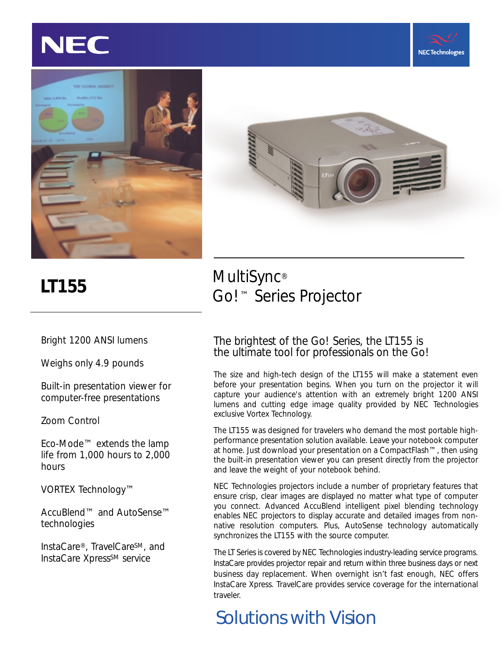







Bright 1200 ANSI lumens

Weighs only 4.9 pounds

Built-in presentation viewer for computer-free presentations

Zoom Control

Eco-Mode™ extends the lamp life from 1,000 hours to 2,000 hours

VORTEX Technology™

AccuBlend™ and AutoSense™ technologies

InstaCare®, TravelCareSM, and InstaCare Xpress<sup>SM</sup> service

### **LT155** MultiSync® Go!™ Series Projector

#### The brightest of the Go! Series, the LT155 is the ultimate tool for professionals on the Go!

The size and high-tech design of the LT155 will make a statement even before your presentation begins. When you turn on the projector it will capture your audience's attention with an extremely bright 1200 ANSI lumens and cutting edge image quality provided by NEC Technologies exclusive Vortex Technology.

The LT155 was designed for travelers who demand the most portable highperformance presentation solution available. Leave your notebook computer at home. Just download your presentation on a CompactFlash™, then using the built-in presentation viewer you can present directly from the projector and leave the weight of your notebook behind.

NEC Technologies projectors include a number of proprietary features that ensure crisp, clear images are displayed no matter what type of computer you connect. Advanced AccuBlend intelligent pixel blending technology enables NEC projectors to display accurate and detailed images from nonnative resolution computers. Plus, AutoSense technology automatically synchronizes the LT155 with the source computer.

The LT Series is covered by NEC Technologies industry-leading service programs. InstaCare provides projector repair and return within three business days or next business day replacement. When overnight isn't fast enough, NEC offers InstaCare Xpress. TravelCare provides service coverage for the international traveler.

## *Solutions with Vision*